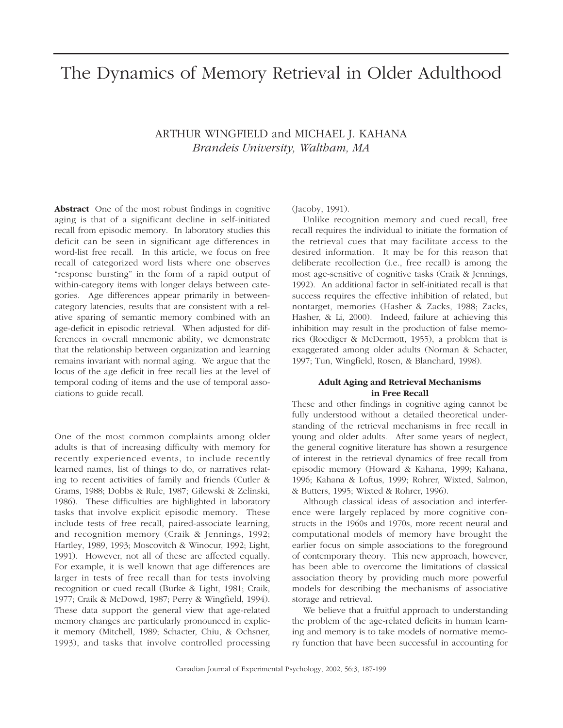# The Dynamics of Memory Retrieval in Older Adulthood

## ARTHUR WINGFIELD and MICHAEL J. KAHANA *Brandeis University, Waltham, MA*

**Abstract** One of the most robust findings in cognitive aging is that of a significant decline in self-initiated recall from episodic memory. In laboratory studies this deficit can be seen in significant age differences in word-list free recall. In this article, we focus on free recall of categorized word lists where one observes "response bursting" in the form of a rapid output of within-category items with longer delays between categories. Age differences appear primarily in betweencategory latencies, results that are consistent with a relative sparing of semantic memory combined with an age-deficit in episodic retrieval. When adjusted for differences in overall mnemonic ability, we demonstrate that the relationship between organization and learning remains invariant with normal aging. We argue that the locus of the age deficit in free recall lies at the level of temporal coding of items and the use of temporal associations to guide recall.

One of the most common complaints among older adults is that of increasing difficulty with memory for recently experienced events, to include recently learned names, list of things to do, or narratives relating to recent activities of family and friends (Cutler & Grams, 1988; Dobbs & Rule, 1987; Gilewski & Zelinski, 1986). These difficulties are highlighted in laboratory tasks that involve explicit episodic memory. These include tests of free recall, paired-associate learning, and recognition memory (Craik & Jennings, 1992; Hartley, 1989, 1993; Moscovitch & Winocur, 1992; Light, 1991). However, not all of these are affected equally. For example, it is well known that age differences are larger in tests of free recall than for tests involving recognition or cued recall (Burke & Light, 1981; Craik, 1977; Craik & McDowd, 1987; Perry & Wingfield, 1994). These data support the general view that age-related memory changes are particularly pronounced in explicit memory (Mitchell, 1989; Schacter, Chiu, & Ochsner, 1993), and tasks that involve controlled processing

(Jacoby, 1991).

Unlike recognition memory and cued recall, free recall requires the individual to initiate the formation of the retrieval cues that may facilitate access to the desired information. It may be for this reason that deliberate recollection (i.e., free recall) is among the most age-sensitive of cognitive tasks (Craik & Jennings, 1992). An additional factor in self-initiated recall is that success requires the effective inhibition of related, but nontarget, memories (Hasher & Zacks, 1988; Zacks, Hasher, & Li, 2000). Indeed, failure at achieving this inhibition may result in the production of false memories (Roediger & McDermott, 1955), a problem that is exaggerated among older adults (Norman & Schacter, 1997; Tun, Wingfield, Rosen, & Blanchard, 1998).

### **Adult Aging and Retrieval Mechanisms in Free Recall**

These and other findings in cognitive aging cannot be fully understood without a detailed theoretical understanding of the retrieval mechanisms in free recall in young and older adults. After some years of neglect, the general cognitive literature has shown a resurgence of interest in the retrieval dynamics of free recall from episodic memory (Howard & Kahana, 1999; Kahana, 1996; Kahana & Loftus, 1999; Rohrer, Wixted, Salmon, & Butters, 1995; Wixted & Rohrer, 1996).

Although classical ideas of association and interference were largely replaced by more cognitive constructs in the 1960s and 1970s, more recent neural and computational models of memory have brought the earlier focus on simple associations to the foreground of contemporary theory. This new approach, however, has been able to overcome the limitations of classical association theory by providing much more powerful models for describing the mechanisms of associative storage and retrieval.

We believe that a fruitful approach to understanding the problem of the age-related deficits in human learning and memory is to take models of normative memory function that have been successful in accounting for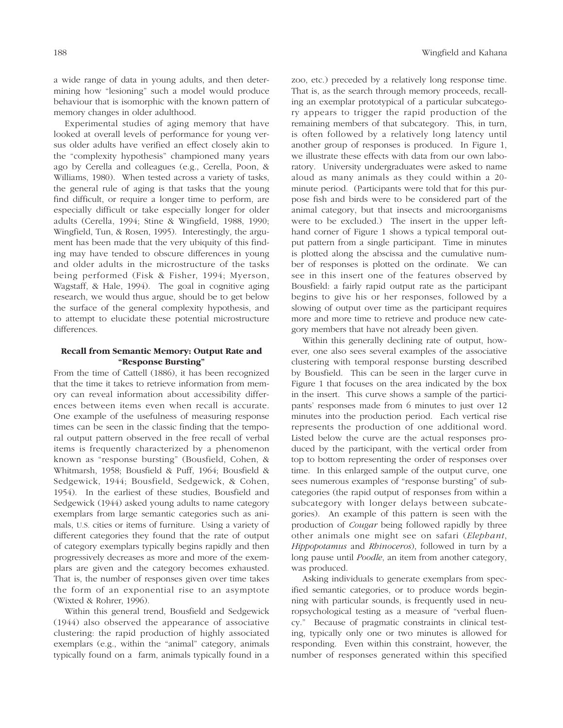a wide range of data in young adults, and then determining how "lesioning" such a model would produce behaviour that is isomorphic with the known pattern of memory changes in older adulthood.

Experimental studies of aging memory that have looked at overall levels of performance for young versus older adults have verified an effect closely akin to the "complexity hypothesis" championed many years ago by Cerella and colleagues (e.g., Cerella, Poon, & Williams, 1980). When tested across a variety of tasks, the general rule of aging is that tasks that the young find difficult, or require a longer time to perform, are especially difficult or take especially longer for older adults (Cerella, 1994; Stine & Wingfield, 1988, 1990; Wingfield, Tun, & Rosen, 1995). Interestingly, the argument has been made that the very ubiquity of this finding may have tended to obscure differences in young and older adults in the microstructure of the tasks being performed (Fisk & Fisher, 1994; Myerson, Wagstaff, & Hale, 1994). The goal in cognitive aging research, we would thus argue, should be to get below the surface of the general complexity hypothesis, and to attempt to elucidate these potential microstructure differences.

## **Recall from Semantic Memory: Output Rate and "Response Bursting"**

From the time of Cattell (1886), it has been recognized that the time it takes to retrieve information from memory can reveal information about accessibility differences between items even when recall is accurate. One example of the usefulness of measuring response times can be seen in the classic finding that the temporal output pattern observed in the free recall of verbal items is frequently characterized by a phenomenon known as "response bursting" (Bousfield, Cohen, & Whitmarsh, 1958; Bousfield & Puff, 1964; Bousfield & Sedgewick, 1944; Bousfield, Sedgewick, & Cohen, 1954). In the earliest of these studies, Bousfield and Sedgewick (1944) asked young adults to name category exemplars from large semantic categories such as animals, U.S. cities or items of furniture. Using a variety of different categories they found that the rate of output of category exemplars typically begins rapidly and then progressively decreases as more and more of the exemplars are given and the category becomes exhausted. That is, the number of responses given over time takes the form of an exponential rise to an asymptote (Wixted & Rohrer, 1996).

Within this general trend, Bousfield and Sedgewick (1944) also observed the appearance of associative clustering: the rapid production of highly associated exemplars (e.g., within the "animal" category, animals typically found on a farm, animals typically found in a

zoo, etc.) preceded by a relatively long response time. That is, as the search through memory proceeds, recalling an exemplar prototypical of a particular subcategory appears to trigger the rapid production of the remaining members of that subcategory. This, in turn, is often followed by a relatively long latency until another group of responses is produced. In Figure 1, we illustrate these effects with data from our own laboratory. University undergraduates were asked to name aloud as many animals as they could within a 20 minute period. (Participants were told that for this purpose fish and birds were to be considered part of the animal category, but that insects and microorganisms were to be excluded.) The insert in the upper lefthand corner of Figure 1 shows a typical temporal output pattern from a single participant. Time in minutes is plotted along the abscissa and the cumulative number of responses is plotted on the ordinate. We can see in this insert one of the features observed by Bousfield: a fairly rapid output rate as the participant begins to give his or her responses, followed by a slowing of output over time as the participant requires more and more time to retrieve and produce new category members that have not already been given.

Within this generally declining rate of output, however, one also sees several examples of the associative clustering with temporal response bursting described by Bousfield. This can be seen in the larger curve in Figure 1 that focuses on the area indicated by the box in the insert. This curve shows a sample of the participants' responses made from 6 minutes to just over 12 minutes into the production period. Each vertical rise represents the production of one additional word. Listed below the curve are the actual responses produced by the participant, with the vertical order from top to bottom representing the order of responses over time. In this enlarged sample of the output curve, one sees numerous examples of "response bursting" of subcategories (the rapid output of responses from within a subcategory with longer delays between subcategories). An example of this pattern is seen with the production of *Cougar* being followed rapidly by three other animals one might see on safari (*Elephant*, *Hippopotamus* and *Rhinoceros*), followed in turn by a long pause until *Poodle*, an item from another category, was produced.

Asking individuals to generate exemplars from specified semantic categories, or to produce words beginning with particular sounds, is frequently used in neuropsychological testing as a measure of "verbal fluency." Because of pragmatic constraints in clinical testing, typically only one or two minutes is allowed for responding. Even within this constraint, however, the number of responses generated within this specified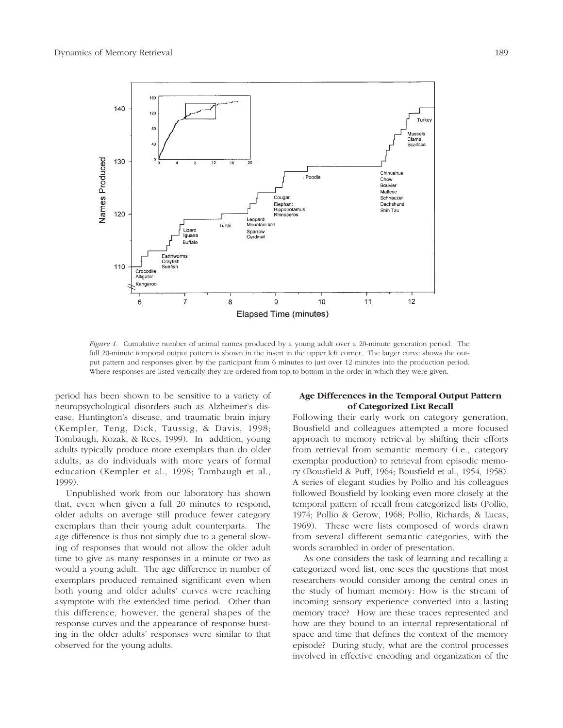

*Figure 1.* Cumulative number of animal names produced by a young adult over a 20-minute generation period. The full 20-minute temporal output pattern is shown in the insert in the upper left corner. The larger curve shows the output pattern and responses given by the participant from 6 minutes to just over 12 minutes into the production period. Where responses are listed vertically they are ordered from top to bottom in the order in which they were given.

period has been shown to be sensitive to a variety of neuropsychological disorders such as Alzheimer's disease, Huntington's disease, and traumatic brain injury (Kempler, Teng, Dick, Taussig, & Davis, 1998; Tombaugh, Kozak, & Rees, 1999). In addition, young adults typically produce more exemplars than do older adults, as do individuals with more years of formal education (Kempler et al., 1998; Tombaugh et al., 1999).

Unpublished work from our laboratory has shown that, even when given a full 20 minutes to respond, older adults on average still produce fewer category exemplars than their young adult counterparts. The age difference is thus not simply due to a general slowing of responses that would not allow the older adult time to give as many responses in a minute or two as would a young adult. The age difference in number of exemplars produced remained significant even when both young and older adults' curves were reaching asymptote with the extended time period. Other than this difference, however, the general shapes of the response curves and the appearance of response bursting in the older adults' responses were similar to that observed for the young adults.

## **Age Differences in the Temporal Output Pattern of Categorized List Recall**

Following their early work on category generation, Bousfield and colleagues attempted a more focused approach to memory retrieval by shifting their efforts from retrieval from semantic memory (i.e., category exemplar production) to retrieval from episodic memory (Bousfield & Puff, 1964; Bousfield et al., 1954, 1958). A series of elegant studies by Pollio and his colleagues followed Bousfield by looking even more closely at the temporal pattern of recall from categorized lists (Pollio, 1974; Pollio & Gerow, 1968; Pollio, Richards, & Lucas, 1969). These were lists composed of words drawn from several different semantic categories, with the words scrambled in order of presentation.

As one considers the task of learning and recalling a categorized word list, one sees the questions that most researchers would consider among the central ones in the study of human memory: How is the stream of incoming sensory experience converted into a lasting memory trace? How are these traces represented and how are they bound to an internal representational of space and time that defines the context of the memory episode? During study, what are the control processes involved in effective encoding and organization of the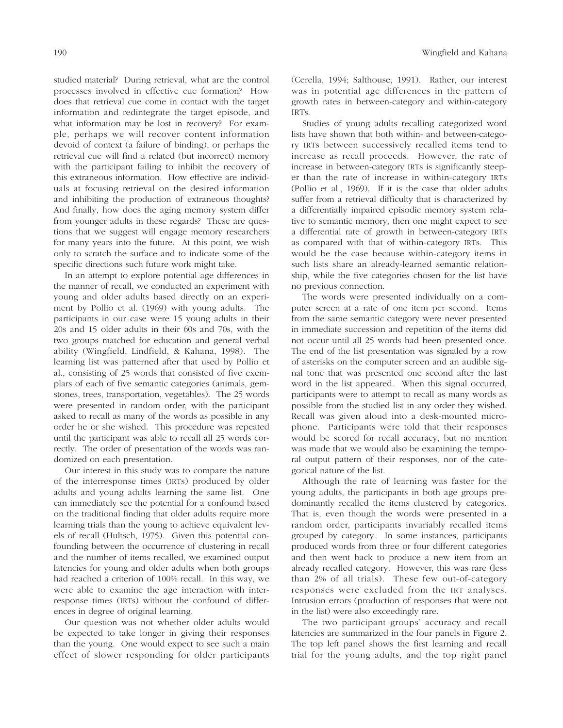studied material? During retrieval, what are the control processes involved in effective cue formation? How does that retrieval cue come in contact with the target information and redintegrate the target episode, and what information may be lost in recovery? For example, perhaps we will recover content information devoid of context (a failure of binding), or perhaps the retrieval cue will find a related (but incorrect) memory with the participant failing to inhibit the recovery of this extraneous information. How effective are individuals at focusing retrieval on the desired information and inhibiting the production of extraneous thoughts? And finally, how does the aging memory system differ from younger adults in these regards? These are questions that we suggest will engage memory researchers for many years into the future. At this point, we wish only to scratch the surface and to indicate some of the specific directions such future work might take.

In an attempt to explore potential age differences in the manner of recall, we conducted an experiment with young and older adults based directly on an experiment by Pollio et al. (1969) with young adults. The participants in our case were 15 young adults in their 20s and 15 older adults in their 60s and 70s, with the two groups matched for education and general verbal ability (Wingfield, Lindfield, & Kahana, 1998). The learning list was patterned after that used by Pollio et al., consisting of 25 words that consisted of five exemplars of each of five semantic categories (animals, gemstones, trees, transportation, vegetables). The 25 words were presented in random order, with the participant asked to recall as many of the words as possible in any order he or she wished. This procedure was repeated until the participant was able to recall all 25 words correctly. The order of presentation of the words was randomized on each presentation.

Our interest in this study was to compare the nature of the interresponse times (IRTs) produced by older adults and young adults learning the same list. One can immediately see the potential for a confound based on the traditional finding that older adults require more learning trials than the young to achieve equivalent levels of recall (Hultsch, 1975). Given this potential confounding between the occurrence of clustering in recall and the number of items recalled, we examined output latencies for young and older adults when both groups had reached a criterion of 100% recall. In this way, we were able to examine the age interaction with interresponse times (IRTs) without the confound of differences in degree of original learning.

Our question was not whether older adults would be expected to take longer in giving their responses than the young. One would expect to see such a main effect of slower responding for older participants (Cerella, 1994; Salthouse, 1991). Rather, our interest was in potential age differences in the pattern of growth rates in between-category and within-category IRTs.

Studies of young adults recalling categorized word lists have shown that both within- and between-category IRTs between successively recalled items tend to increase as recall proceeds. However, the rate of increase in between-category IRTs is significantly steeper than the rate of increase in within-category IRTs (Pollio et al., 1969). If it is the case that older adults suffer from a retrieval difficulty that is characterized by a differentially impaired episodic memory system relative to semantic memory, then one might expect to see a differential rate of growth in between-category IRTs as compared with that of within-category IRTs. This would be the case because within-category items in such lists share an already-learned semantic relationship, while the five categories chosen for the list have no previous connection.

The words were presented individually on a computer screen at a rate of one item per second. Items from the same semantic category were never presented in immediate succession and repetition of the items did not occur until all 25 words had been presented once. The end of the list presentation was signaled by a row of asterisks on the computer screen and an audible signal tone that was presented one second after the last word in the list appeared. When this signal occurred, participants were to attempt to recall as many words as possible from the studied list in any order they wished. Recall was given aloud into a desk-mounted microphone. Participants were told that their responses would be scored for recall accuracy, but no mention was made that we would also be examining the temporal output pattern of their responses, nor of the categorical nature of the list.

Although the rate of learning was faster for the young adults, the participants in both age groups predominantly recalled the items clustered by categories. That is, even though the words were presented in a random order, participants invariably recalled items grouped by category. In some instances, participants produced words from three or four different categories and then went back to produce a new item from an already recalled category. However, this was rare (less than 2% of all trials). These few out-of-category responses were excluded from the IRT analyses. Intrusion errors (production of responses that were not in the list) were also exceedingly rare.

The two participant groups' accuracy and recall latencies are summarized in the four panels in Figure 2. The top left panel shows the first learning and recall trial for the young adults, and the top right panel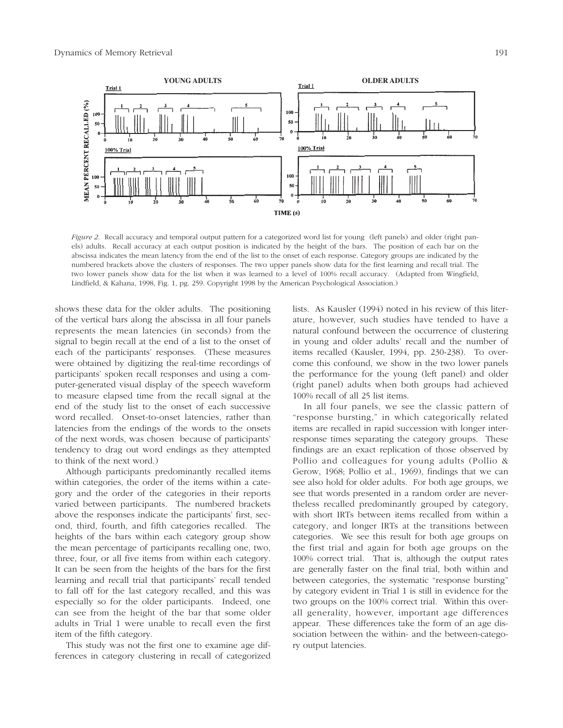

*Figure 2.* Recall accuracy and temporal output pattern for a categorized word list for young (left panels) and older (right panels) adults. Recall accuracy at each output position is indicated by the height of the bars. The position of each bar on the abscissa indicates the mean latency from the end of the list to the onset of each response. Category groups are indicated by the numbered brackets above the clusters of responses. The two upper panels show data for the first learning and recall trial. The two lower panels show data for the list when it was learned to a level of 100% recall accuracy. (Adapted from Wingfield, Lindfield, & Kahana, 1998, Fig. 1, pg. 259. Copyright 1998 by the American Psychological Association.)

shows these data for the older adults. The positioning of the vertical bars along the abscissa in all four panels represents the mean latencies (in seconds) from the signal to begin recall at the end of a list to the onset of each of the participants' responses. (These measures were obtained by digitizing the real-time recordings of participants' spoken recall responses and using a computer-generated visual display of the speech waveform to measure elapsed time from the recall signal at the end of the study list to the onset of each successive word recalled. Onset-to-onset latencies, rather than latencies from the endings of the words to the onsets of the next words, was chosen because of participants' tendency to drag out word endings as they attempted to think of the next word.)

Although participants predominantly recalled items within categories, the order of the items within a category and the order of the categories in their reports varied between participants. The numbered brackets above the responses indicate the participants' first, second, third, fourth, and fifth categories recalled. The heights of the bars within each category group show the mean percentage of participants recalling one, two, three, four, or all five items from within each category. It can be seen from the heights of the bars for the first learning and recall trial that participants' recall tended to fall off for the last category recalled, and this was especially so for the older participants. Indeed, one can see from the height of the bar that some older adults in Trial 1 were unable to recall even the first item of the fifth category.

This study was not the first one to examine age differences in category clustering in recall of categorized

lists. As Kausler (1994) noted in his review of this literature, however, such studies have tended to have a natural confound between the occurrence of clustering in young and older adults' recall and the number of items recalled (Kausler, 1994, pp. 230-238). To overcome this confound, we show in the two lower panels the performance for the young (left panel) and older (right panel) adults when both groups had achieved 100% recall of all 25 list items.

In all four panels, we see the classic pattern of "response bursting," in which categorically related items are recalled in rapid succession with longer interresponse times separating the category groups. These findings are an exact replication of those observed by Pollio and colleagues for young adults (Pollio & Gerow, 1968; Pollio et al., 1969), findings that we can see also hold for older adults. For both age groups, we see that words presented in a random order are nevertheless recalled predominantly grouped by category, with short IRTs between items recalled from within a category, and longer IRTs at the transitions between categories. We see this result for both age groups on the first trial and again for both age groups on the 100% correct trial. That is, although the output rates are generally faster on the final trial, both within and between categories, the systematic "response bursting" by category evident in Trial 1 is still in evidence for the two groups on the 100% correct trial. Within this overall generality, however, important age differences appear. These differences take the form of an age dissociation between the within- and the between-category output latencies.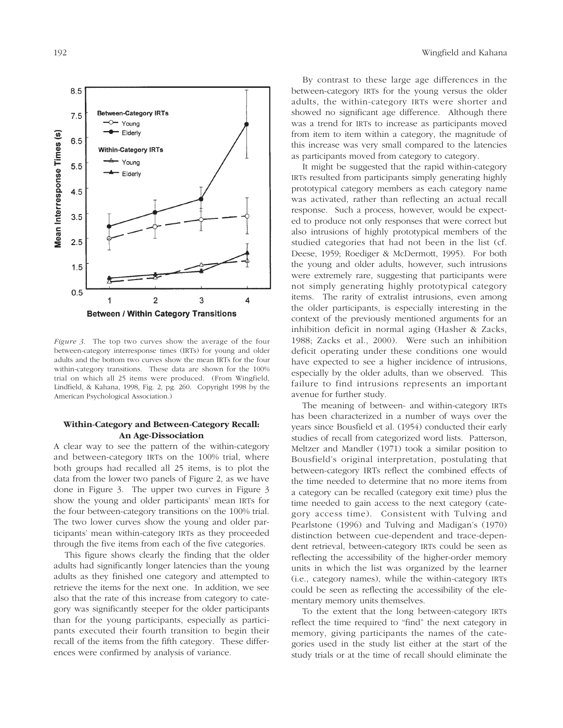

*Figure 3.* The top two curves show the average of the four between-category interresponse times (IRTs) for young and older adults and the bottom two curves show the mean IRTs for the four within-category transitions. These data are shown for the 100% trial on which all 25 items were produced. (From Wingfield, Lindfield, & Kahana, 1998, Fig. 2, pg. 260. Copyright 1998 by the American Psychological Association.)

## **Within-Category and Between-Category Recall: An Age-Dissociation**

A clear way to see the pattern of the within-category and between-category IRTs on the 100% trial, where both groups had recalled all 25 items, is to plot the data from the lower two panels of Figure 2, as we have done in Figure 3. The upper two curves in Figure 3 show the young and older participants' mean IRTs for the four between-category transitions on the 100% trial. The two lower curves show the young and older participants' mean within-category IRTs as they proceeded through the five items from each of the five categories.

This figure shows clearly the finding that the older adults had significantly longer latencies than the young adults as they finished one category and attempted to retrieve the items for the next one. In addition, we see also that the rate of this increase from category to category was significantly steeper for the older participants than for the young participants, especially as participants executed their fourth transition to begin their recall of the items from the fifth category. These differences were confirmed by analysis of variance.

By contrast to these large age differences in the between-category IRTs for the young versus the older adults, the within-category IRTs were shorter and showed no significant age difference. Although there was a trend for IRTs to increase as participants moved from item to item within a category, the magnitude of this increase was very small compared to the latencies as participants moved from category to category.

It might be suggested that the rapid within-category IRTs resulted from participants simply generating highly prototypical category members as each category name was activated, rather than reflecting an actual recall response. Such a process, however, would be expected to produce not only responses that were correct but also intrusions of highly prototypical members of the studied categories that had not been in the list (cf. Deese, 1959; Roediger & McDermott, 1995). For both the young and older adults, however, such intrusions were extremely rare, suggesting that participants were not simply generating highly prototypical category items. The rarity of extralist intrusions, even among the older participants, is especially interesting in the context of the previously mentioned arguments for an inhibition deficit in normal aging (Hasher & Zacks, 1988; Zacks et al., 2000). Were such an inhibition deficit operating under these conditions one would have expected to see a higher incidence of intrusions, especially by the older adults, than we observed. This failure to find intrusions represents an important avenue for further study.

The meaning of between- and within-category IRTs has been characterized in a number of ways over the years since Bousfield et al. (1954) conducted their early studies of recall from categorized word lists. Patterson, Meltzer and Mandler (1971) took a similar position to Bousfield's original interpretation, postulating that between-category IRTs reflect the combined effects of the time needed to determine that no more items from a category can be recalled (category exit time) plus the time needed to gain access to the next category (category access time). Consistent with Tulving and Pearlstone (1996) and Tulving and Madigan's (1970) distinction between cue-dependent and trace-dependent retrieval, between-category IRTs could be seen as reflecting the accessibility of the higher-order memory units in which the list was organized by the learner (i.e., category names), while the within-category IRTs could be seen as reflecting the accessibility of the elementary memory units themselves.

To the extent that the long between-category IRTs reflect the time required to "find" the next category in memory, giving participants the names of the categories used in the study list either at the start of the study trials or at the time of recall should eliminate the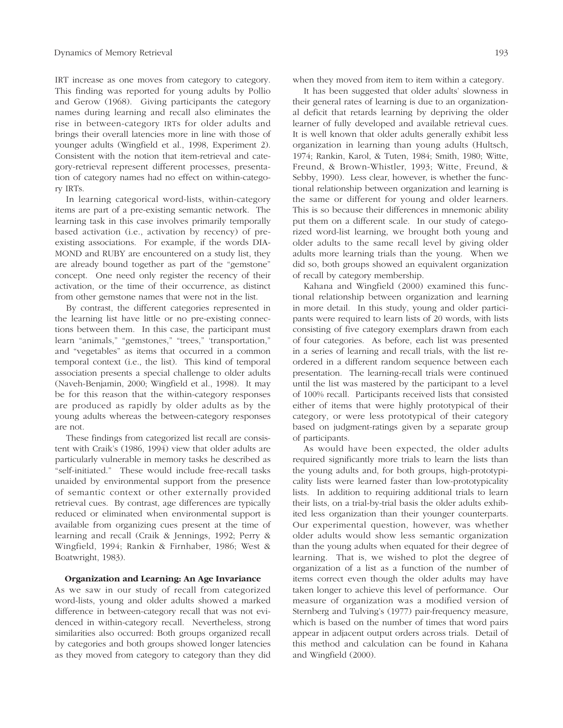IRT increase as one moves from category to category. This finding was reported for young adults by Pollio and Gerow (1968). Giving participants the category names during learning and recall also eliminates the rise in between-category IRTs for older adults and brings their overall latencies more in line with those of younger adults (Wingfield et al., 1998, Experiment 2). Consistent with the notion that item-retrieval and category-retrieval represent different processes, presentation of category names had no effect on within-category IRTs.

In learning categorical word-lists, within-category items are part of a pre-existing semantic network. The learning task in this case involves primarily temporally based activation (i.e., activation by recency) of preexisting associations. For example, if the words DIA-MOND and RUBY are encountered on a study list, they are already bound together as part of the "gemstone" concept. One need only register the recency of their activation, or the time of their occurrence, as distinct from other gemstone names that were not in the list.

By contrast, the different categories represented in the learning list have little or no pre-existing connections between them. In this case, the participant must learn "animals," "gemstones," "trees," 'transportation," and "vegetables" as items that occurred in a common temporal context (i.e., the list). This kind of temporal association presents a special challenge to older adults (Naveh-Benjamin, 2000; Wingfield et al., 1998). It may be for this reason that the within-category responses are produced as rapidly by older adults as by the young adults whereas the between-category responses are not.

These findings from categorized list recall are consistent with Craik's (1986, 1994) view that older adults are particularly vulnerable in memory tasks he described as "self-initiated." These would include free-recall tasks unaided by environmental support from the presence of semantic context or other externally provided retrieval cues. By contrast, age differences are typically reduced or eliminated when environmental support is available from organizing cues present at the time of learning and recall (Craik & Jennings, 1992; Perry & Wingfield, 1994; Rankin & Firnhaber, 1986; West & Boatwright, 1983).

#### **Organization and Learning: An Age Invariance**

As we saw in our study of recall from categorized word-lists, young and older adults showed a marked difference in between-category recall that was not evidenced in within-category recall. Nevertheless, strong similarities also occurred: Both groups organized recall by categories and both groups showed longer latencies as they moved from category to category than they did when they moved from item to item within a category.

It has been suggested that older adults' slowness in their general rates of learning is due to an organizational deficit that retards learning by depriving the older learner of fully developed and available retrieval cues. It is well known that older adults generally exhibit less organization in learning than young adults (Hultsch, 1974; Rankin, Karol, & Tuten, 1984; Smith, 1980; Witte, Freund, & Brown-Whistler, 1993; Witte, Freund, & Sebby, 1990). Less clear, however, is whether the functional relationship between organization and learning is the same or different for young and older learners. This is so because their differences in mnemonic ability put them on a different scale. In our study of categorized word-list learning, we brought both young and older adults to the same recall level by giving older adults more learning trials than the young. When we did so, both groups showed an equivalent organization of recall by category membership.

Kahana and Wingfield (2000) examined this functional relationship between organization and learning in more detail. In this study, young and older participants were required to learn lists of 20 words, with lists consisting of five category exemplars drawn from each of four categories. As before, each list was presented in a series of learning and recall trials, with the list reordered in a different random sequence between each presentation. The learning-recall trials were continued until the list was mastered by the participant to a level of 100% recall. Participants received lists that consisted either of items that were highly prototypical of their category, or were less prototypical of their category based on judgment-ratings given by a separate group of participants.

As would have been expected, the older adults required significantly more trials to learn the lists than the young adults and, for both groups, high-prototypicality lists were learned faster than low-prototypicality lists. In addition to requiring additional trials to learn their lists, on a trial-by-trial basis the older adults exhibited less organization than their younger counterparts. Our experimental question, however, was whether older adults would show less semantic organization than the young adults when equated for their degree of learning. That is, we wished to plot the degree of organization of a list as a function of the number of items correct even though the older adults may have taken longer to achieve this level of performance. Our measure of organization was a modified version of Sternberg and Tulving's (1977) pair-frequency measure, which is based on the number of times that word pairs appear in adjacent output orders across trials. Detail of this method and calculation can be found in Kahana and Wingfield (2000).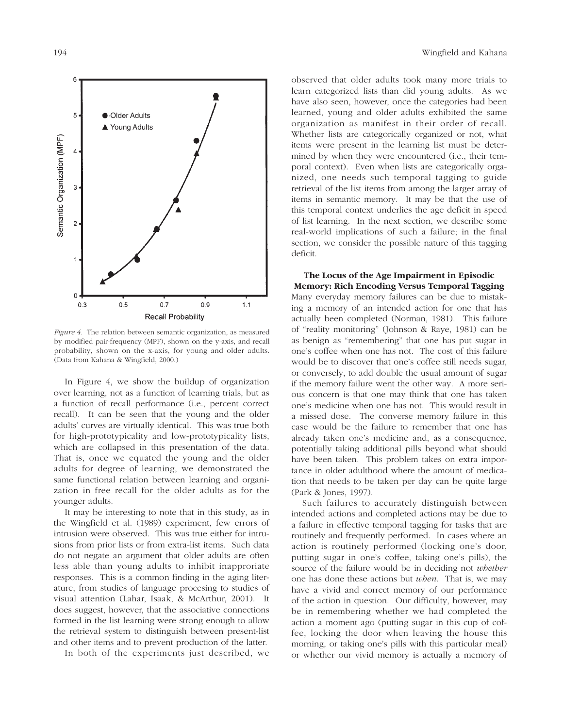

*Figure 4.* The relation between semantic organization, as measured by modified pair-frequency (MPF), shown on the y-axis, and recall probability, shown on the x-axis, for young and older adults. (Data from Kahana & Wingfield, 2000.)

In Figure 4, we show the buildup of organization over learning, not as a function of learning trials, but as a function of recall performance (i.e., percent correct recall). It can be seen that the young and the older adults' curves are virtually identical. This was true both for high-prototypicality and low-prototypicality lists, which are collapsed in this presentation of the data. That is, once we equated the young and the older adults for degree of learning, we demonstrated the same functional relation between learning and organization in free recall for the older adults as for the younger adults.

It may be interesting to note that in this study, as in the Wingfield et al. (1989) experiment, few errors of intrusion were observed. This was true either for intrusions from prior lists or from extra-list items. Such data do not negate an argument that older adults are often less able than young adults to inhibit inapproriate responses. This is a common finding in the aging literature, from studies of language procesing to studies of visual attention (Lahar, Isaak, & McArthur, 2001). It does suggest, however, that the associative connections formed in the list learning were strong enough to allow the retrieval system to distinguish between present-list and other items and to prevent production of the latter.

In both of the experiments just described, we

observed that older adults took many more trials to learn categorized lists than did young adults. As we have also seen, however, once the categories had been learned, young and older adults exhibited the same organization as manifest in their order of recall. Whether lists are categorically organized or not, what items were present in the learning list must be determined by when they were encountered (i.e., their temporal context). Even when lists are categorically organized, one needs such temporal tagging to guide retrieval of the list items from among the larger array of items in semantic memory. It may be that the use of this temporal context underlies the age deficit in speed of list learning. In the next section, we describe some real-world implications of such a failure; in the final section, we consider the possible nature of this tagging deficit.

**The Locus of the Age Impairment in Episodic Memory: Rich Encoding Versus Temporal Tagging** Many everyday memory failures can be due to mistaking a memory of an intended action for one that has actually been completed (Norman, 1981). This failure of "reality monitoring" (Johnson & Raye, 1981) can be as benign as "remembering" that one has put sugar in one's coffee when one has not. The cost of this failure would be to discover that one's coffee still needs sugar, or conversely, to add double the usual amount of sugar if the memory failure went the other way. A more serious concern is that one may think that one has taken one's medicine when one has not. This would result in a missed dose. The converse memory failure in this case would be the failure to remember that one has already taken one's medicine and, as a consequence, potentially taking additional pills beyond what should have been taken. This problem takes on extra importance in older adulthood where the amount of medication that needs to be taken per day can be quite large (Park & Jones, 1997).

Such failures to accurately distinguish between intended actions and completed actions may be due to a failure in effective temporal tagging for tasks that are routinely and frequently performed. In cases where an action is routinely performed (locking one's door, putting sugar in one's coffee, taking one's pills), the source of the failure would be in deciding not *whether* one has done these actions but *when*. That is, we may have a vivid and correct memory of our performance of the action in question. Our difficulty, however, may be in remembering whether we had completed the action a moment ago (putting sugar in this cup of coffee, locking the door when leaving the house this morning, or taking one's pills with this particular meal) or whether our vivid memory is actually a memory of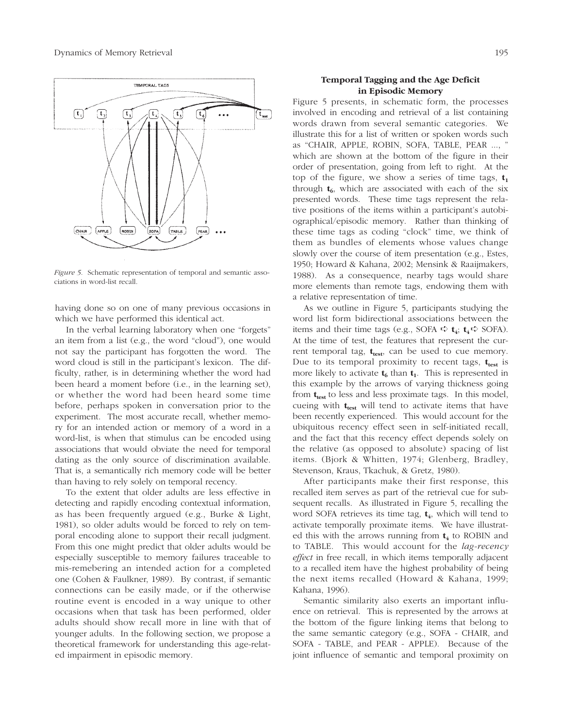

*Figure 5.* Schematic representation of temporal and semantic associations in word-list recall.

having done so on one of many previous occasions in which we have performed this identical act.

In the verbal learning laboratory when one "forgets" an item from a list (e.g., the word "cloud"), one would not say the participant has forgotten the word. The word cloud is still in the participant's lexicon. The difficulty, rather, is in determining whether the word had been heard a moment before (i.e., in the learning set), or whether the word had been heard some time before, perhaps spoken in conversation prior to the experiment. The most accurate recall, whether memory for an intended action or memory of a word in a word-list, is when that stimulus can be encoded using associations that would obviate the need for temporal dating as the only source of discrimination available. That is, a semantically rich memory code will be better than having to rely solely on temporal recency.

To the extent that older adults are less effective in detecting and rapidly encoding contextual information, as has been frequently argued (e.g., Burke & Light, 1981), so older adults would be forced to rely on temporal encoding alone to support their recall judgment. From this one might predict that older adults would be especially susceptible to memory failures traceable to mis-remebering an intended action for a completed one (Cohen & Faulkner, 1989). By contrast, if semantic connections can be easily made, or if the otherwise routine event is encoded in a way unique to other occasions when that task has been performed, older adults should show recall more in line with that of younger adults. In the following section, we propose a theoretical framework for understanding this age-related impairment in episodic memory.

## **Temporal Tagging and the Age Deficit in Episodic Memory**

Figure 5 presents, in schematic form, the processes involved in encoding and retrieval of a list containing words drawn from several semantic categories. We illustrate this for a list of written or spoken words such as "CHAIR, APPLE, ROBIN, SOFA, TABLE, PEAR ..., " which are shown at the bottom of the figure in their order of presentation, going from left to right. At the top of the figure, we show a series of time tags,  $t_1$ through  $t_6$ , which are associated with each of the six presented words. These time tags represent the relative positions of the items within a participant's autobiographical/episodic memory. Rather than thinking of these time tags as coding "clock" time, we think of them as bundles of elements whose values change slowly over the course of item presentation (e.g., Estes, 1950; Howard & Kahana, 2002; Mensink & Raaijmakers, 1988). As a consequence, nearby tags would share more elements than remote tags, endowing them with a relative representation of time.

As we outline in Figure 5, participants studying the word list form bidirectional associations between the items and their time tags (e.g., SOFA  $\vec{\mathbf{t}}$  **t**<sub>4</sub>;  $\mathbf{t}_4 \vec{\mathbf{t}}$  SOFA). At the time of test, the features that represent the current temporal tag,  $t_{test}$ , can be used to cue memory. Due to its temporal proximity to recent tags,  $t_{test}$  is more likely to activate  $t_6$  than  $t_1$ . This is represented in this example by the arrows of varying thickness going from **t**<sub>test</sub> to less and less proximate tags. In this model, cueing with  $t_{test}$  will tend to activate items that have been recently experienced. This would account for the ubiquitous recency effect seen in self-initiated recall, and the fact that this recency effect depends solely on the relative (as opposed to absolute) spacing of list items. (Bjork & Whitten, 1974; Glenberg, Bradley, Stevenson, Kraus, Tkachuk, & Gretz, 1980).

After participants make their first response, this recalled item serves as part of the retrieval cue for subsequent recalls. As illustrated in Figure 5, recalling the word SOFA retrieves its time tag,  $t_4$ , which will tend to activate temporally proximate items. We have illustrated this with the arrows running from  $t_4$  to ROBIN and to TABLE. This would account for the *lag-recency effect* in free recall, in which items temporally adjacent to a recalled item have the highest probability of being the next items recalled (Howard & Kahana, 1999; Kahana, 1996).

Semantic similarity also exerts an important influence on retrieval. This is represented by the arrows at the bottom of the figure linking items that belong to the same semantic category (e.g., SOFA - CHAIR, and SOFA - TABLE, and PEAR - APPLE). Because of the joint influence of semantic and temporal proximity on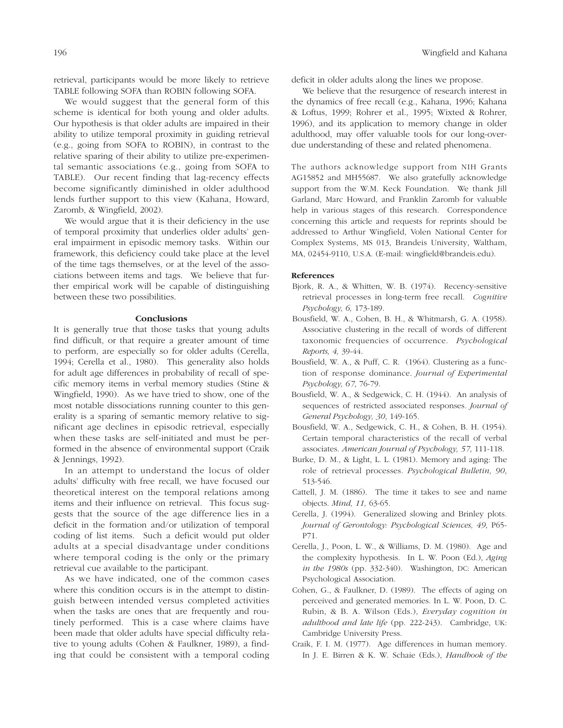retrieval, participants would be more likely to retrieve TABLE following SOFA than ROBIN following SOFA.

We would suggest that the general form of this scheme is identical for both young and older adults. Our hypothesis is that older adults are impaired in their ability to utilize temporal proximity in guiding retrieval (e.g., going from SOFA to ROBIN), in contrast to the relative sparing of their ability to utilize pre-experimental semantic associations (e.g., going from SOFA to TABLE). Our recent finding that lag-recency effects become significantly diminished in older adulthood lends further support to this view (Kahana, Howard, Zaromb, & Wingfield, 2002).

We would argue that it is their deficiency in the use of temporal proximity that underlies older adults' general impairment in episodic memory tasks. Within our framework, this deficiency could take place at the level of the time tags themselves, or at the level of the associations between items and tags. We believe that further empirical work will be capable of distinguishing between these two possibilities.

## **Conclusions**

It is generally true that those tasks that young adults find difficult, or that require a greater amount of time to perform, are especially so for older adults (Cerella, 1994; Cerella et al., 1980). This generality also holds for adult age differences in probability of recall of specific memory items in verbal memory studies (Stine & Wingfield, 1990). As we have tried to show, one of the most notable dissociations running counter to this generality is a sparing of semantic memory relative to significant age declines in episodic retrieval, especially when these tasks are self-initiated and must be performed in the absence of environmental support (Craik & Jennings, 1992).

In an attempt to understand the locus of older adults' difficulty with free recall, we have focused our theoretical interest on the temporal relations among items and their influence on retrieval. This focus suggests that the source of the age difference lies in a deficit in the formation and/or utilization of temporal coding of list items. Such a deficit would put older adults at a special disadvantage under conditions where temporal coding is the only or the primary retrieval cue available to the participant.

As we have indicated, one of the common cases where this condition occurs is in the attempt to distinguish between intended versus completed activities when the tasks are ones that are frequently and routinely performed. This is a case where claims have been made that older adults have special difficulty relative to young adults (Cohen & Faulkner, 1989), a finding that could be consistent with a temporal coding deficit in older adults along the lines we propose.

We believe that the resurgence of research interest in the dynamics of free recall (e.g., Kahana, 1996; Kahana & Loftus, 1999; Rohrer et al., 1995; Wixted & Rohrer, 1996), and its application to memory change in older adulthood, may offer valuable tools for our long-overdue understanding of these and related phenomena.

The authors acknowledge support from NIH Grants AG15852 and MH55687. We also gratefully acknowledge support from the W.M. Keck Foundation. We thank Jill Garland, Marc Howard, and Franklin Zaromb for valuable help in various stages of this research. Correspondence concerning this article and requests for reprints should be addressed to Arthur Wingfield, Volen National Center for Complex Systems, MS 013, Brandeis University, Waltham, MA, 02454-9110, U.S.A. (E-mail: wingfield@brandeis.edu).

#### **References**

- Bjork, R. A., & Whitten, W. B. (1974). Recency-sensitive retrieval processes in long-term free recall. *Cognitive Psychology, 6,* 173-189.
- Bousfield, W. A., Cohen, B. H., & Whitmarsh, G. A. (1958). Associative clustering in the recall of words of different taxonomic frequencies of occurrence. *Psychological Reports, 4,* 39-44.
- Bousfield, W. A., & Puff, C. R. (1964). Clustering as a function of response dominance. *Journal of Experimental Psychology, 67*, 76-79.
- Bousfield, W. A., & Sedgewick, C. H. (1944). An analysis of sequences of restricted associated responses*. Journal of General Psychology, 30*, 149-165.
- Bousfield, W. A., Sedgewick, C. H., & Cohen, B. H. (1954). Certain temporal characteristics of the recall of verbal associates. *American Journal of Psychology, 57*, 111-118.
- Burke, D. M., & Light, L. L. (1981). Memory and aging: The role of retrieval processes. *Psychological Bulletin, 90*, 513-546.
- Cattell, J. M. (1886). The time it takes to see and name objects. *Mind, 11,* 63-65.
- Cerella, J. (1994). Generalized slowing and Brinley plots*. Journal of Gerontology: Psychological Sciences, 49*, P65- P71.
- Cerella, J., Poon, L. W., & Williams, D. M. (1980). Age and the complexity hypothesis. In L. W. Poon (Ed.), *Aging in the 1980s* (pp. 332-340). Washington, DC: American Psychological Association.
- Cohen, G., & Faulkner, D. (1989). The effects of aging on perceived and generated memories. In L. W. Poon, D. C. Rubin, & B. A. Wilson (Eds.), *Everyday cognition in adulthood and late life* (pp. 222-243). Cambridge, UK: Cambridge University Press.
- Craik, F. I. M. (1977). Age differences in human memory. In J. E. Birren & K. W. Schaie (Eds.), *Handbook of the*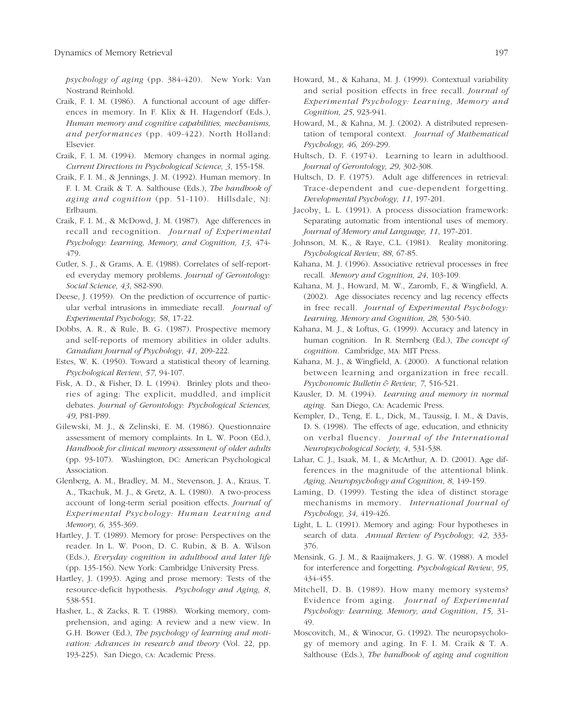*psychology of aging* (pp. 384-420). New York: Van Nostrand Reinhold.

- Craik, F. I. M. (1986). A functional account of age differences in memory. In F. Klix & H. Hagendorf (Eds.), *Human memory and cognitive capabilities, mechanisms, and performances* (pp. 409-422). North Holland: Elsevier.
- Craik, F. I. M. (1994). Memory changes in normal aging. *Current Directions in Psychological Science, 3*, 155-158.
- Craik, F. I. M., & Jennings, J. M. (1992). Human memory. In F. I. M. Craik & T. A. Salthouse (Eds.), *The handbook of aging and cognition* (pp. 51-110). Hillsdale, NJ: Erlbaum.
- Craik, F. I. M., & McDowd, J. M. (1987). Age differences in recall and recognition. *Journal of Experimental Psychology: Learning, Memory, and Cognition, 13*, 474- 479.
- Cutler, S. J., & Grams, A. E. (1988). Correlates of self-reported everyday memory problems. *Journal of Gerontology: Social Science, 43*, S82-S90.
- Deese, J. (1959). On the prediction of occurrence of particular verbal intrusions in immediate recall. *Journal of Experimental Psychology, 58*, 17-22.
- Dobbs, A. R., & Rule, B. G. (1987). Prospective memory and self-reports of memory abilities in older adults. *Canadian Journal of Psychology, 41*, 209-222.
- Estes, W. K. (1950). Toward a statistical theory of learning. *Psychological Review*, *57*, 94-107.
- Fisk, A. D., & Fisher, D. L. (1994). Brinley plots and theories of aging: The explicit, muddled, and implicit debates. *Journal of Gerontology: Psychological Sciences, 49*, P81-P89.
- Gilewski, M. J., & Zelinski, E. M. (1986). Questionnaire assessment of memory complaints. In L. W. Poon (Ed.), *Handbook for clinical memory assessment of older adults* (pp. 93-107). Washington, DC: American Psychological Association.
- Glenberg, A. M., Bradley, M. M., Stevenson, J. A., Kraus, T. A., Tkachuk, M. J., & Gretz, A. L. (1980). A two-process account of long-term serial position effects. *Journal of Experimental Psychology: Human Learning and Memory, 6,* 355-369.
- Hartley, J. T. (1989). Memory for prose: Perspectives on the reader. In L. W. Poon, D. C. Rubin, & B. A. Wilson (Eds.), *Everyday cognition in adulthood and later life* (pp. 135-156). New York: Cambridge University Press.
- Hartley, J. (1993). Aging and prose memory: Tests of the resource-deficit hypothesis. *Psychology and Aging, 8*, 538-551.
- Hasher, L., & Zacks, R. T. (1988). Working memory, comprehension, and aging: A review and a new view. In G.H. Bower (Ed.), *The psychology of learning and motivation: Advances in research and theory* (Vol. 22, pp. 193-225). San Diego, CA: Academic Press.
- Howard, M., & Kahana, M. J. (1999). Contextual variability and serial position effects in free recall. *Journal of Experimental Psychology: Learning, Memory and Cognition, 25*, 923-941.
- Howard, M., & Kahna, M. J. (2002). A distributed representation of temporal context. *Journal of Mathematical Psychology, 46,* 269-299.
- Hultsch, D. F. (1974). Learning to learn in adulthood. *Journal of Gerontology, 29*, 302-308.
- Hultsch, D. F. (1975). Adult age differences in retrieval: Trace-dependent and cue-dependent forgetting. *Developmental Psychology, 11*, 197-201.
- Jacoby, L. L. (1991). A process dissociation framework: Separating automatic from intentional uses of memory. *Journal of Memory and Language, 11*, 197-201.
- Johnson, M. K., & Raye, C.L. (1981). Reality monitoring. *Psychological Review, 88*, 67-85.
- Kahana, M. J. (1996). Associative retrieval processes in free recall. *Memory and Cognition, 24*, 103-109.
- Kahana, M. J., Howard, M. W., Zaromb, F., & Wingfield, A. (2002). Age dissociates recency and lag recency effects in free recall*. Journal of Experimental Psychology: Learning, Memory and Cognition, 28,* 530-540.
- Kahana, M. J., & Loftus, G. (1999). Accuracy and latency in human cognition. In R. Sternberg (Ed.), *The concept of cognition*. Cambridge, MA: MIT Press.
- Kahana, M. J., & Wingfield, A. (2000). A functional relation between learning and organization in free recall. *Psychonomic Bulletin & Review, 7*, 516-521.
- Kausler, D. M. (1994). *Learning and memory in normal aging*. San Diego, CA: Academic Press.
- Kempler, D., Teng, E. L., Dick, M., Taussig, I. M., & Davis, D. S. (1998). The effects of age, education, and ethnicity on verbal fluency. *Journal of the International Neuropsychological Society, 4*, 531-538.
- Lahar, C. J., Isaak, M. I., & McArthur, A. D. (2001). Age differences in the magnitude of the attentional blink. *Aging, Neuropsychology and Cognition*, *8*, 149-159.
- Laming, D. (1999). Testing the idea of distinct storage mechanisms in memory. *International Journal of Psychology, 34*, 419-426.
- Light, L. L. (1991). Memory and aging: Four hypotheses in search of data*. Annual Review of Psychology, 42*, 333- 376.
- Mensink, G. J. M., & Raaijmakers, J. G. W. (1988). A model for interference and forgetting. *Psychological Review*, *95*, 434-455.
- Mitchell, D. B. (1989). How many memory systems? Evidence from aging. *Journal of Experimental Psychology: Learning, Memory, and Cognition*, *15*, 31- 49.
- Moscovitch, M., & Winocur, G. (1992). The neuropsychology of memory and aging. In F. I. M. Craik & T. A. Salthouse (Eds.), *The handbook of aging and cognition*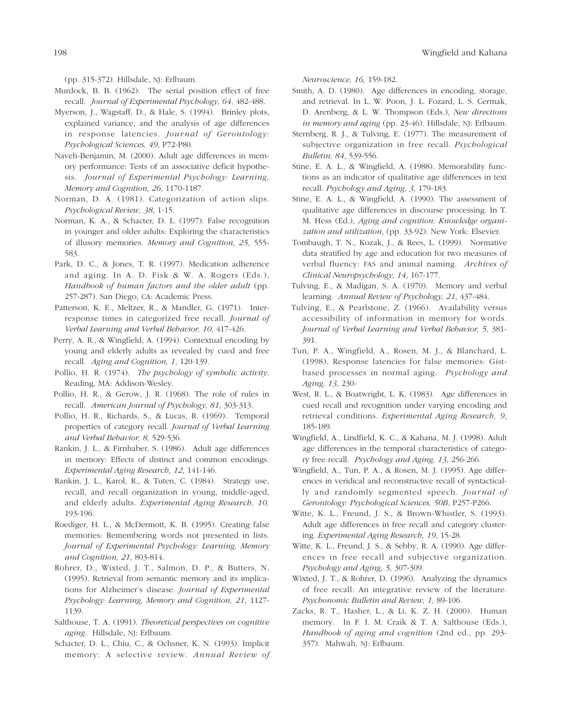(pp. 315-372). Hillsdale, NJ: Erlbaum.

- Murdock, B. B. (1962). The serial position effect of free recall. *Journal of Experimental Psychology, 64*, 482-488.
- Myerson, J., Wagstaff, D., & Hale, S. (1994). Brinley plots, explained variance, and the analysis of age differences in response latencies. *Journal of Gerontology: Psychological Sciences, 49*, P72-P80.
- Naveh-Benjamin, M. (2000). Adult age differences in memory performance: Tests of an associative deficit hypothesis. *Journal of Experimental Psychology: Learning, Memory and Cognition, 26*, 1170-1187.
- Norman, D. A. (1981). Categorization of action slips. *Psychological Review, 38*, 1-15.
- Norman, K. A., & Schacter, D. L. (1997). False recognition in younger and older adults: Exploring the characteristics of illusory memories. *Memory and Cognition, 25*, 555- 583.
- Park, D. C., & Jones, T. R. (1997). Medication adherence and aging. In A. D. Fisk & W. A. Rogers (Eds.), *Handbook of human factors and the older adult* (pp. 257-287). San Diego, CA: Academic Press.
- Patterson, K. E., Meltzer, R., & Mandler, G. (1971). Interresponse times in categorized free recall. *Journal of Verbal Learning and Verbal Behavior, 10*, 417-426.
- Perry, A. R., & Wingfield, A. (1994). Contextual encoding by young and elderly adults as revealed by cued and free recall. *Aging and Cognition, 1*, 120-139.
- Pollio, H. R. (1974). *The psychology of symbolic activity*. Reading, MA: Addison-Wesley.
- Pollio, H. R., & Gerow, J. R. (1968). The role of rules in recall. *American Journal of Psychology, 81*, 303-313.
- Pollio, H. R., Richards, S., & Lucas, R. (1969). Temporal properties of category recall. *Journal of Verbal Learning and Verbal Behavior, 8,* 529-536.
- Rankin, J. L., & Firnhaber, S. (1986). Adult age differences in memory: Effects of distinct and common encodings*. Experimental Aging Research, 12*, 141-146.
- Rankin, J. L., Karol, R., & Tuten, C. (1984). Strategy use, recall, and recall organization in young, middle-aged, and elderly adults. *Experimental Aging Research, 10,* 193-196.
- Roediger, H. L., & McDermott, K. B. (1995). Creating false memories: Remembering words not presented in lists. *Journal of Experimental Psychology: Learning, Memory and Cognition, 21*, 803-814.
- Rohrer, D., Wixted, J. T., Salmon, D. P., & Butters, N. (1995). Retrieval from semantic memory and its implications for Alzheimer's disease*. Journal of Experimental Psychology: Learning, Memory and Cognition, 21*, 1127- 1139.
- Salthouse, T. A. (1991). *Theoretical perspectives on cognitive aging*. Hillsdale, NJ: Erlbaum.
- Schacter, D. L., Chiu, C., & Ochsner, K. N. (1993). Implicit memory: A selective review. *Annual Review of*

*Neuroscience, 16,* 159-182.

- Smith, A. D. (1980). Age differences in encoding, storage, and retrieval. In L. W. Poon, J. L. Fozard, L. S. Cermak, D. Arenberg, & L. W. Thompson (Eds.), *New directions in memory and aging* (pp. 23-46). Hillsdale, NJ: Erlbaum.
- Sternberg, R. J., & Tulving, E. (1977). The measurement of subjective organization in free recall. *Psychological Bulletin, 84*, 539-556.
- Stine, E. A. L., & Wingfield, A. (1988). Memorability functions as an indicator of qualitative age differences in text recall. *Psychology and Aging, 3*, 179-183.
- Stine, E. A. L., & Wingfield, A. (1990). The assessment of qualitative age differences in discourse processing. In T. M. Hess (Ed.), *Aging and cognition: Knowledge organization and utilization*, (pp. 33-92). New York: Elsevier.
- Tombaugh, T. N., Kozak, J., & Rees, L. (1999). Normative data stratified by age and education for two measures of verbal fluency: FAS and animal naming. *Archives of Clinical Neuropsychology, 14*, 167-177.
- Tulving, E., & Madigan, S. A. (1970). Memory and verbal learning*. Annual Review of Psychology, 21*, 437-484.
- Tulving, E., & Pearlstone, Z. (1966). Availability versus accessibility of information in memory for words. *Journal of Verbal Learning and Verbal Behavior, 5*, 381- 391.
- Tun, P. A., Wingfield, A., Rosen, M. J., & Blanchard, L. (1998). Response latencies for false memories: Gistbased processes in normal aging. *Psychology and Aging, 13*, 230-
- West, R. L., & Boatwright, L. K. (1983). Age differences in cued recall and recognition under varying encoding and retrieval conditions*. Experimental Aging Research, 9*, 185-189.
- Wingfield, A., Lindfield, K. C., & Kahana, M. J. (1998). Adult age differences in the temporal characteristics of category free recall. *Psychology and Aging, 13*, 256-266.
- Wingfield, A., Tun, P. A., & Rosen, M. J. (1995). Age differences in veridical and reconstructive recall of syntactically and randomly segmented speech. *Journal of Gerontology: Psychological Sciences, 50B*, P257-P266.
- Witte, K. L., Freund, J. S., & Brown-Whistler, S. (1993). Adult age differences in free recall and category clustering. *Experimental Aging Research, 19*, 15-28.
- Witte, K. L., Freund, J. S., & Sebby, R. A. (1990). Age differences in free recall and subjective organization. *Psychology and Aging, 5*, 307-309.
- Wixted, J. T., & Rohrer, D. (1996). Analyzing the dynamics of free recall: An integrative review of the literature. *Psychonomic Bulletin and Review, 1,* 89-106.
- Zacks, R. T., Hasher, L., & Li, K. Z. H. (2000). Human memory. In F. I. M. Craik & T. A. Salthouse (Eds.), *Handbook of aging and cognition* (2nd ed., pp. 293- 357). Mahwah, NJ: Erlbaum.